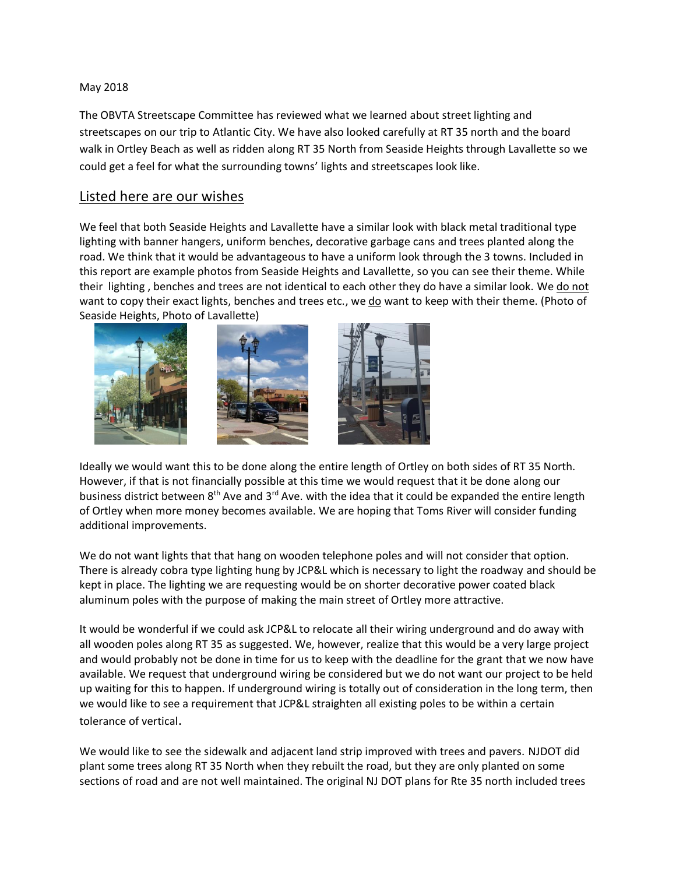### May 2018

The OBVTA Streetscape Committee has reviewed what we learned about street lighting and streetscapes on our trip to Atlantic City. We have also looked carefully at RT 35 north and the board walk in Ortley Beach as well as ridden along RT 35 North from Seaside Heights through Lavallette so we could get a feel for what the surrounding towns' lights and streetscapes look like.

# Listed here are our wishes

We feel that both Seaside Heights and Lavallette have a similar look with black metal traditional type lighting with banner hangers, uniform benches, decorative garbage cans and trees planted along the road. We think that it would be advantageous to have a uniform look through the 3 towns. Included in this report are example photos from Seaside Heights and Lavallette, so you can see their theme. While their lighting , benches and trees are not identical to each other they do have a similar look. We do not want to copy their exact lights, benches and trees etc., we do want to keep with their theme. (Photo of Seaside Heights, Photo of Lavallette)







Ideally we would want this to be done along the entire length of Ortley on both sides of RT 35 North. However, if that is not financially possible at this time we would request that it be done along our business district between  $8<sup>th</sup>$  Ave and  $3<sup>rd</sup>$  Ave. with the idea that it could be expanded the entire length of Ortley when more money becomes available. We are hoping that Toms River will consider funding additional improvements.

We do not want lights that that hang on wooden telephone poles and will not consider that option. There is already cobra type lighting hung by JCP&L which is necessary to light the roadway and should be kept in place. The lighting we are requesting would be on shorter decorative power coated black aluminum poles with the purpose of making the main street of Ortley more attractive.

It would be wonderful if we could ask JCP&L to relocate all their wiring underground and do away with all wooden poles along RT 35 as suggested. We, however, realize that this would be a very large project and would probably not be done in time for us to keep with the deadline for the grant that we now have available. We request that underground wiring be considered but we do not want our project to be held up waiting for this to happen. If underground wiring is totally out of consideration in the long term, then we would like to see a requirement that JCP&L straighten all existing poles to be within a certain tolerance of vertical.

We would like to see the sidewalk and adjacent land strip improved with trees and pavers. NJDOT did plant some trees along RT 35 North when they rebuilt the road, but they are only planted on some sections of road and are not well maintained. The original NJ DOT plans for Rte 35 north included trees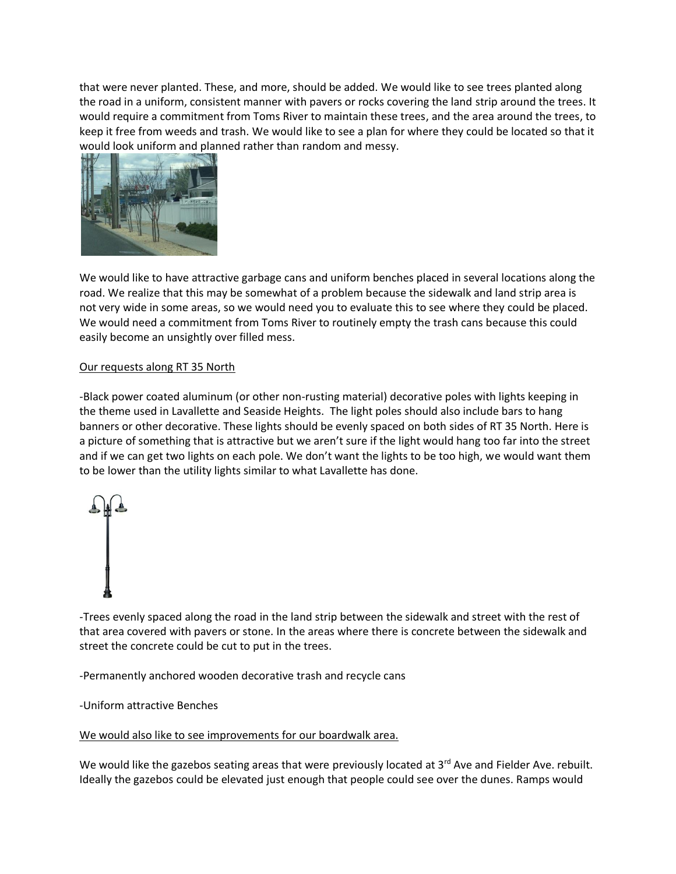that were never planted. These, and more, should be added. We would like to see trees planted along the road in a uniform, consistent manner with pavers or rocks covering the land strip around the trees. It would require a commitment from Toms River to maintain these trees, and the area around the trees, to keep it free from weeds and trash. We would like to see a plan for where they could be located so that it would look uniform and planned rather than random and messy.



We would like to have attractive garbage cans and uniform benches placed in several locations along the road. We realize that this may be somewhat of a problem because the sidewalk and land strip area is not very wide in some areas, so we would need you to evaluate this to see where they could be placed. We would need a commitment from Toms River to routinely empty the trash cans because this could easily become an unsightly over filled mess.

# Our requests along RT 35 North

-Black power coated aluminum (or other non-rusting material) decorative poles with lights keeping in the theme used in Lavallette and Seaside Heights. The light poles should also include bars to hang banners or other decorative. These lights should be evenly spaced on both sides of RT 35 North. Here is a picture of something that is attractive but we aren't sure if the light would hang too far into the street and if we can get two lights on each pole. We don't want the lights to be too high, we would want them to be lower than the utility lights similar to what Lavallette has done.



-Trees evenly spaced along the road in the land strip between the sidewalk and street with the rest of that area covered with pavers or stone. In the areas where there is concrete between the sidewalk and street the concrete could be cut to put in the trees.

-Permanently anchored wooden decorative trash and recycle cans

-Uniform attractive Benches

# We would also like to see improvements for our boardwalk area.

We would like the gazebos seating areas that were previously located at 3<sup>rd</sup> Ave and Fielder Ave. rebuilt. Ideally the gazebos could be elevated just enough that people could see over the dunes. Ramps would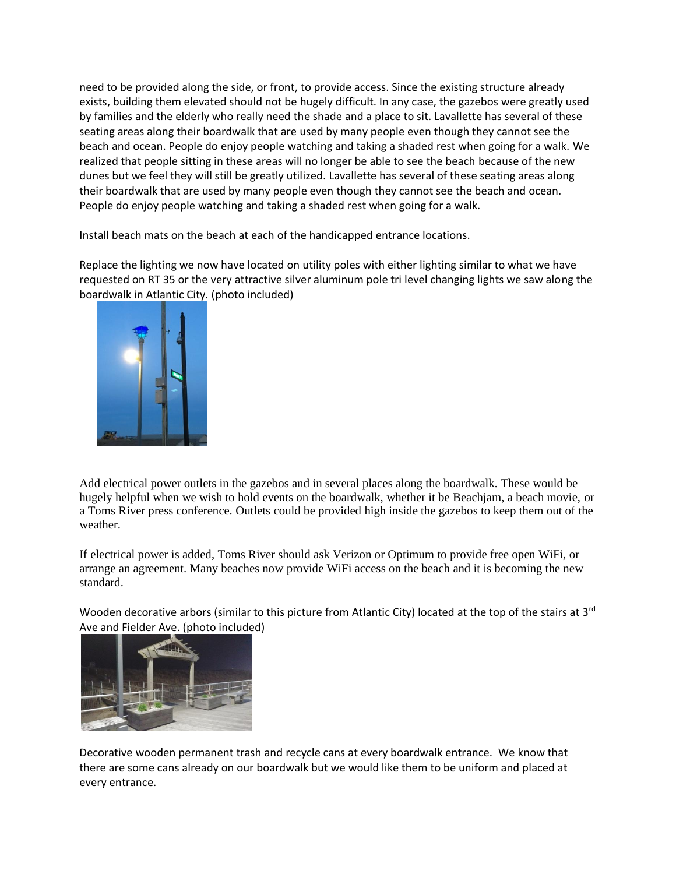need to be provided along the side, or front, to provide access. Since the existing structure already exists, building them elevated should not be hugely difficult. In any case, the gazebos were greatly used by families and the elderly who really need the shade and a place to sit. Lavallette has several of these seating areas along their boardwalk that are used by many people even though they cannot see the beach and ocean. People do enjoy people watching and taking a shaded rest when going for a walk. We realized that people sitting in these areas will no longer be able to see the beach because of the new dunes but we feel they will still be greatly utilized. Lavallette has several of these seating areas along their boardwalk that are used by many people even though they cannot see the beach and ocean. People do enjoy people watching and taking a shaded rest when going for a walk.

Install beach mats on the beach at each of the handicapped entrance locations.

Replace the lighting we now have located on utility poles with either lighting similar to what we have requested on RT 35 or the very attractive silver aluminum pole tri level changing lights we saw along the boardwalk in Atlantic City. (photo included)



Add electrical power outlets in the gazebos and in several places along the boardwalk. These would be hugely helpful when we wish to hold events on the boardwalk, whether it be Beachjam, a beach movie, or a Toms River press conference. Outlets could be provided high inside the gazebos to keep them out of the weather.

If electrical power is added, Toms River should ask Verizon or Optimum to provide free open WiFi, or arrange an agreement. Many beaches now provide WiFi access on the beach and it is becoming the new standard.

Wooden decorative arbors (similar to this picture from Atlantic City) located at the top of the stairs at 3<sup>rd</sup> Ave and Fielder Ave. (photo included)



Decorative wooden permanent trash and recycle cans at every boardwalk entrance. We know that there are some cans already on our boardwalk but we would like them to be uniform and placed at every entrance.